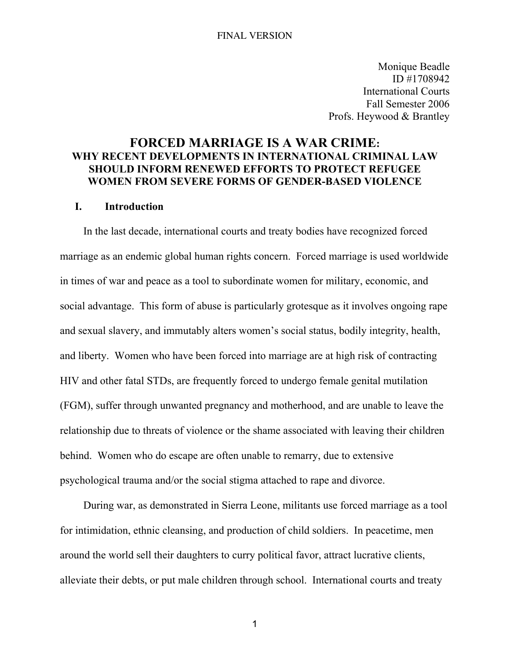Monique Beadle ID #1708942 International Courts Fall Semester 2006 Profs. Heywood & Brantley

# FORCED MARRIAGE IS A WAR CRIME: WHY RECENT DEVELOPMENTS IN INTERNATIONAL CRIMINAL LAW SHOULD INFORM RENEWED EFFORTS TO PROTECT REFUGEE WOMEN FROM SEVERE FORMS OF GENDER-BASED VIOLENCE

## I. Introduction

In the last decade, international courts and treaty bodies have recognized forced marriage as an endemic global human rights concern. Forced marriage is used worldwide in times of war and peace as a tool to subordinate women for military, economic, and social advantage. This form of abuse is particularly grotesque as it involves ongoing rape and sexual slavery, and immutably alters women's social status, bodily integrity, health, and liberty. Women who have been forced into marriage are at high risk of contracting HIV and other fatal STDs, are frequently forced to undergo female genital mutilation (FGM), suffer through unwanted pregnancy and motherhood, and are unable to leave the relationship due to threats of violence or the shame associated with leaving their children behind. Women who do escape are often unable to remarry, due to extensive psychological trauma and/or the social stigma attached to rape and divorce.

During war, as demonstrated in Sierra Leone, militants use forced marriage as a tool for intimidation, ethnic cleansing, and production of child soldiers. In peacetime, men around the world sell their daughters to curry political favor, attract lucrative clients, alleviate their debts, or put male children through school. International courts and treaty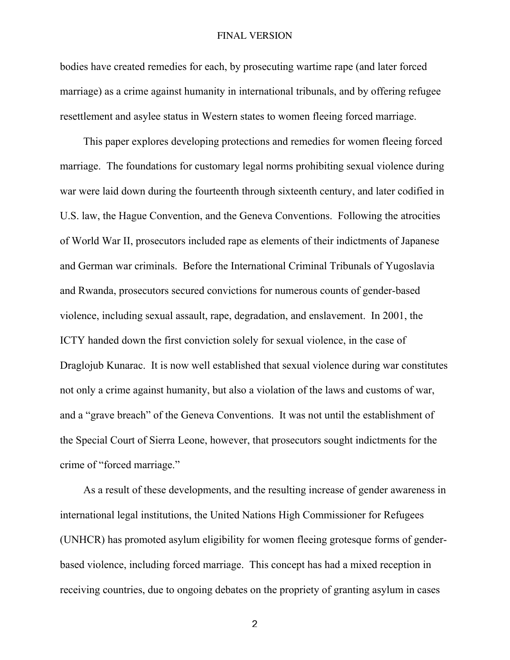bodies have created remedies for each, by prosecuting wartime rape (and later forced marriage) as a crime against humanity in international tribunals, and by offering refugee resettlement and asylee status in Western states to women fleeing forced marriage.

This paper explores developing protections and remedies for women fleeing forced marriage. The foundations for customary legal norms prohibiting sexual violence during war were laid down during the fourteenth through sixteenth century, and later codified in U.S. law, the Hague Convention, and the Geneva Conventions. Following the atrocities of World War II, prosecutors included rape as elements of their indictments of Japanese and German war criminals. Before the International Criminal Tribunals of Yugoslavia and Rwanda, prosecutors secured convictions for numerous counts of gender-based violence, including sexual assault, rape, degradation, and enslavement. In 2001, the ICTY handed down the first conviction solely for sexual violence, in the case of Draglojub Kunarac. It is now well established that sexual violence during war constitutes not only a crime against humanity, but also a violation of the laws and customs of war, and a "grave breach" of the Geneva Conventions. It was not until the establishment of the Special Court of Sierra Leone, however, that prosecutors sought indictments for the crime of "forced marriage."

As a result of these developments, and the resulting increase of gender awareness in international legal institutions, the United Nations High Commissioner for Refugees (UNHCR) has promoted asylum eligibility for women fleeing grotesque forms of genderbased violence, including forced marriage. This concept has had a mixed reception in receiving countries, due to ongoing debates on the propriety of granting asylum in cases

 $\mathfrak{p}$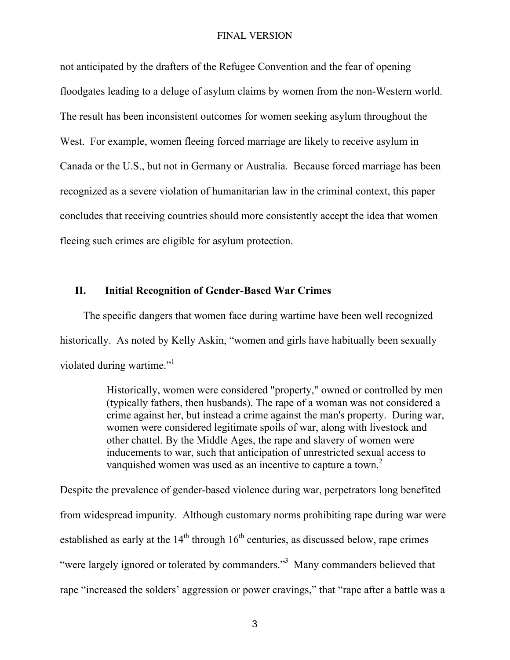not anticipated by the drafters of the Refugee Convention and the fear of opening floodgates leading to a deluge of asylum claims by women from the non-Western world. The result has been inconsistent outcomes for women seeking asylum throughout the West. For example, women fleeing forced marriage are likely to receive asylum in Canada or the U.S., but not in Germany or Australia. Because forced marriage has been recognized as a severe violation of humanitarian law in the criminal context, this paper concludes that receiving countries should more consistently accept the idea that women fleeing such crimes are eligible for asylum protection.

## II. Initial Recognition of Gender-Based War Crimes

The specific dangers that women face during wartime have been well recognized historically. As noted by Kelly Askin, "women and girls have habitually been sexually violated during wartime."<sup>1</sup>

> Historically, women were considered "property," owned or controlled by men (typically fathers, then husbands). The rape of a woman was not considered a crime against her, but instead a crime against the man's property. During war, women were considered legitimate spoils of war, along with livestock and other chattel. By the Middle Ages, the rape and slavery of women were inducements to war, such that anticipation of unrestricted sexual access to vanquished women was used as an incentive to capture a town.<sup>2</sup>

Despite the prevalence of gender-based violence during war, perpetrators long benefited from widespread impunity. Although customary norms prohibiting rape during war were established as early at the  $14<sup>th</sup>$  through  $16<sup>th</sup>$  centuries, as discussed below, rape crimes "were largely ignored or tolerated by commanders."<sup>3</sup> Many commanders believed that rape "increased the solders' aggression or power cravings," that "rape after a battle was a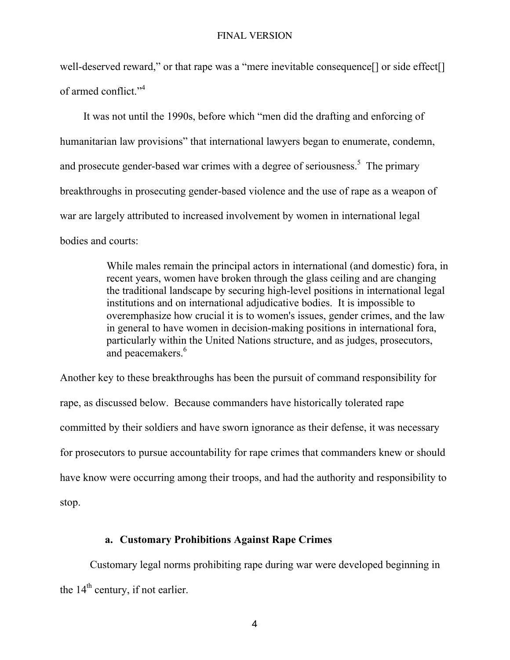well-deserved reward," or that rape was a "mere inevitable consequence<sup>[]</sup> or side effect<sup>[]</sup> of armed conflict."4

It was not until the 1990s, before which "men did the drafting and enforcing of humanitarian law provisions" that international lawyers began to enumerate, condemn, and prosecute gender-based war crimes with a degree of seriousness.<sup>5</sup> The primary breakthroughs in prosecuting gender-based violence and the use of rape as a weapon of war are largely attributed to increased involvement by women in international legal bodies and courts:

> While males remain the principal actors in international (and domestic) fora, in recent years, women have broken through the glass ceiling and are changing the traditional landscape by securing high-level positions in international legal institutions and on international adjudicative bodies. It is impossible to overemphasize how crucial it is to women's issues, gender crimes, and the law in general to have women in decision-making positions in international fora, particularly within the United Nations structure, and as judges, prosecutors, and peacemakers.<sup>6</sup>

Another key to these breakthroughs has been the pursuit of command responsibility for rape, as discussed below. Because commanders have historically tolerated rape committed by their soldiers and have sworn ignorance as their defense, it was necessary for prosecutors to pursue accountability for rape crimes that commanders knew or should have know were occurring among their troops, and had the authority and responsibility to stop.

# a. Customary Prohibitions Against Rape Crimes

Customary legal norms prohibiting rape during war were developed beginning in the 14<sup>th</sup> century, if not earlier.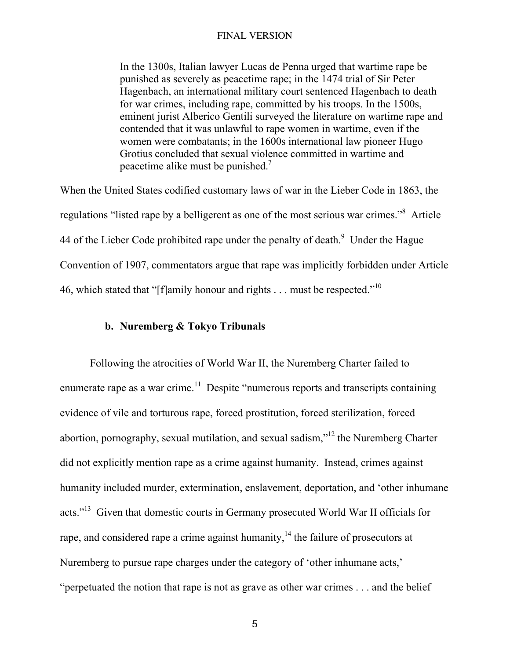In the 1300s, Italian lawyer Lucas de Penna urged that wartime rape be punished as severely as peacetime rape; in the 1474 trial of Sir Peter Hagenbach, an international military court sentenced Hagenbach to death for war crimes, including rape, committed by his troops. In the 1500s, eminent jurist Alberico Gentili surveyed the literature on wartime rape and contended that it was unlawful to rape women in wartime, even if the women were combatants; in the 1600s international law pioneer Hugo Grotius concluded that sexual violence committed in wartime and peacetime alike must be punished.7

When the United States codified customary laws of war in the Lieber Code in 1863, the regulations "listed rape by a belligerent as one of the most serious war crimes."<sup>8</sup> Article 44 of the Lieber Code prohibited rape under the penalty of death.<sup>9</sup> Under the Hague Convention of 1907, commentators argue that rape was implicitly forbidden under Article 46, which stated that "[f]amily honour and rights . . . must be respected."<sup>10</sup>

# b. Nuremberg & Tokyo Tribunals

Following the atrocities of World War II, the Nuremberg Charter failed to enumerate rape as a war crime. $11$  Despite "numerous reports and transcripts containing evidence of vile and torturous rape, forced prostitution, forced sterilization, forced abortion, pornography, sexual mutilation, and sexual sadism,"<sup>12</sup> the Nuremberg Charter did not explicitly mention rape as a crime against humanity. Instead, crimes against humanity included murder, extermination, enslavement, deportation, and 'other inhumane acts."<sup>13</sup> Given that domestic courts in Germany prosecuted World War II officials for rape, and considered rape a crime against humanity,  $14$  the failure of prosecutors at Nuremberg to pursue rape charges under the category of 'other inhumane acts,' "perpetuated the notion that rape is not as grave as other war crimes . . . and the belief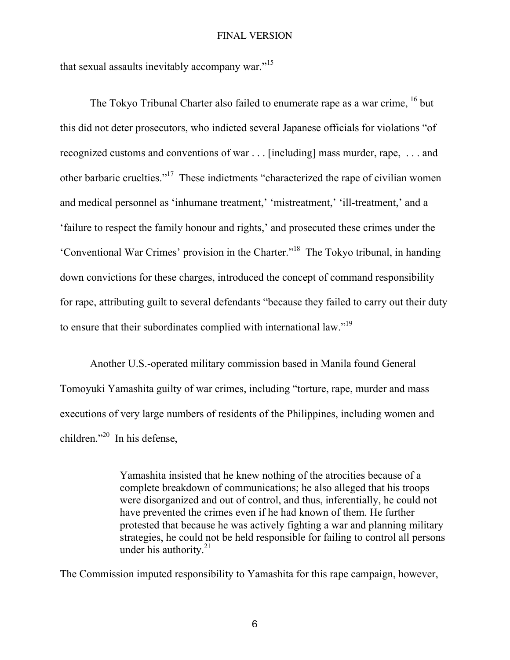that sexual assaults inevitably accompany war."<sup>15</sup>

The Tokyo Tribunal Charter also failed to enumerate rape as a war crime, <sup>16</sup> but this did not deter prosecutors, who indicted several Japanese officials for violations "of recognized customs and conventions of war . . . [including] mass murder, rape, . . . and other barbaric cruelties."<sup>17</sup> These indictments "characterized the rape of civilian women and medical personnel as 'inhumane treatment,' 'mistreatment,' 'ill-treatment,' and a 'failure to respect the family honour and rights,' and prosecuted these crimes under the 'Conventional War Crimes' provision in the Charter."18 The Tokyo tribunal, in handing down convictions for these charges, introduced the concept of command responsibility for rape, attributing guilt to several defendants "because they failed to carry out their duty to ensure that their subordinates complied with international law."19

Another U.S.-operated military commission based in Manila found General Tomoyuki Yamashita guilty of war crimes, including "torture, rape, murder and mass executions of very large numbers of residents of the Philippines, including women and children."<sup>20</sup> In his defense,

> Yamashita insisted that he knew nothing of the atrocities because of a complete breakdown of communications; he also alleged that his troops were disorganized and out of control, and thus, inferentially, he could not have prevented the crimes even if he had known of them. He further protested that because he was actively fighting a war and planning military strategies, he could not be held responsible for failing to control all persons under his authority. $21$

The Commission imputed responsibility to Yamashita for this rape campaign, however,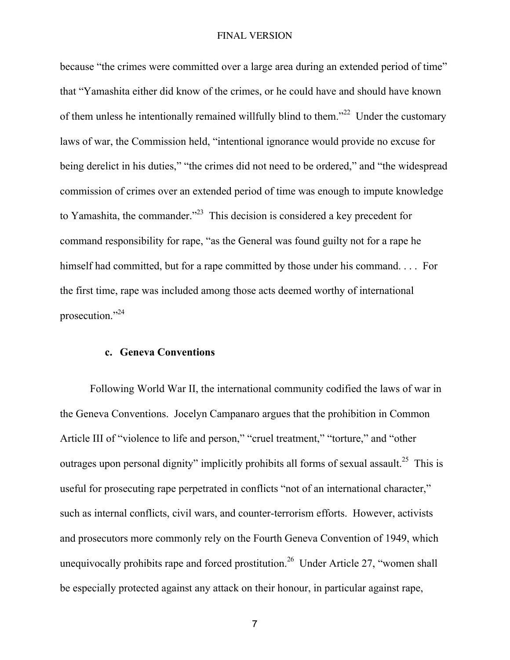because "the crimes were committed over a large area during an extended period of time" that "Yamashita either did know of the crimes, or he could have and should have known of them unless he intentionally remained willfully blind to them."<sup>22</sup> Under the customary laws of war, the Commission held, "intentional ignorance would provide no excuse for being derelict in his duties," "the crimes did not need to be ordered," and "the widespread commission of crimes over an extended period of time was enough to impute knowledge to Yamashita, the commander.<sup> $22$ </sup> This decision is considered a key precedent for command responsibility for rape, "as the General was found guilty not for a rape he himself had committed, but for a rape committed by those under his command. . . . For the first time, rape was included among those acts deemed worthy of international prosecution."24

## c. Geneva Conventions

Following World War II, the international community codified the laws of war in the Geneva Conventions. Jocelyn Campanaro argues that the prohibition in Common Article III of "violence to life and person," "cruel treatment," "torture," and "other outrages upon personal dignity" implicitly prohibits all forms of sexual assault.<sup>25</sup> This is useful for prosecuting rape perpetrated in conflicts "not of an international character," such as internal conflicts, civil wars, and counter-terrorism efforts. However, activists and prosecutors more commonly rely on the Fourth Geneva Convention of 1949, which unequivocally prohibits rape and forced prostitution.<sup>26</sup> Under Article 27, "women shall be especially protected against any attack on their honour, in particular against rape,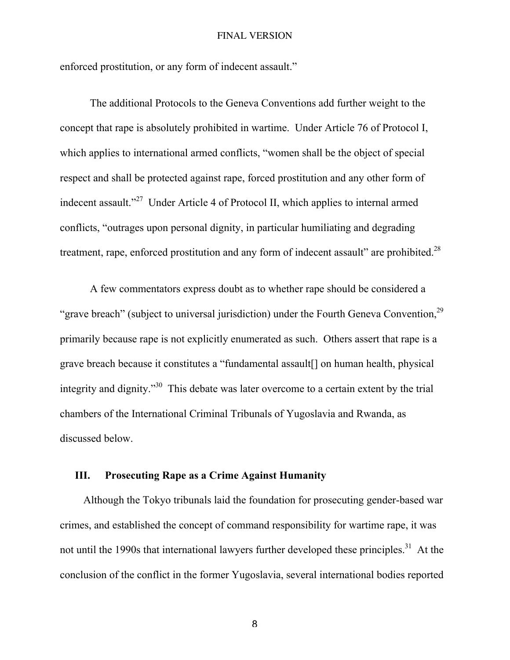enforced prostitution, or any form of indecent assault."

The additional Protocols to the Geneva Conventions add further weight to the concept that rape is absolutely prohibited in wartime. Under Article 76 of Protocol I, which applies to international armed conflicts, "women shall be the object of special respect and shall be protected against rape, forced prostitution and any other form of indecent assault."<sup>27</sup> Under Article 4 of Protocol II, which applies to internal armed conflicts, "outrages upon personal dignity, in particular humiliating and degrading treatment, rape, enforced prostitution and any form of indecent assault" are prohibited.<sup>28</sup>

A few commentators express doubt as to whether rape should be considered a "grave breach" (subject to universal jurisdiction) under the Fourth Geneva Convention, <sup>29</sup> primarily because rape is not explicitly enumerated as such. Others assert that rape is a grave breach because it constitutes a "fundamental assault[] on human health, physical integrity and dignity.<sup>30</sup> This debate was later overcome to a certain extent by the trial chambers of the International Criminal Tribunals of Yugoslavia and Rwanda, as discussed below.

## III. Prosecuting Rape as a Crime Against Humanity

Although the Tokyo tribunals laid the foundation for prosecuting gender-based war crimes, and established the concept of command responsibility for wartime rape, it was not until the 1990s that international lawyers further developed these principles.<sup>31</sup> At the conclusion of the conflict in the former Yugoslavia, several international bodies reported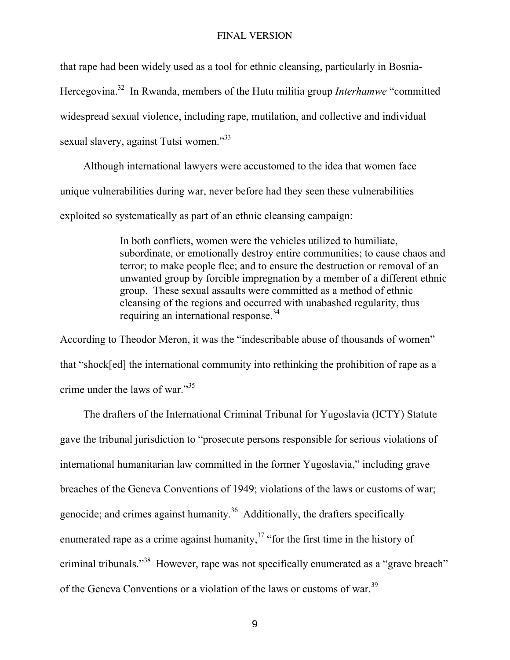that rape had been widely used as a tool for ethnic cleansing, particularly in Bosnia-

Hercegovina.32 In Rwanda, members of the Hutu militia group *Interhamwe* "committed

widespread sexual violence, including rape, mutilation, and collective and individual

sexual slavery, against Tutsi women."<sup>33</sup>

Although international lawyers were accustomed to the idea that women face unique vulnerabilities during war, never before had they seen these vulnerabilities exploited so systematically as part of an ethnic cleansing campaign:

> In both conflicts, women were the vehicles utilized to humiliate, subordinate, or emotionally destroy entire communities; to cause chaos and terror; to make people flee; and to ensure the destruction or removal of an unwanted group by forcible impregnation by a member of a different ethnic group. These sexual assaults were committed as a method of ethnic cleansing of the regions and occurred with unabashed regularity, thus requiring an international response.<sup>34</sup>

According to Theodor Meron, it was the "indescribable abuse of thousands of women" that "shock[ed] the international community into rethinking the prohibition of rape as a crime under the laws of war."<sup>35</sup>

The drafters of the International Criminal Tribunal for Yugoslavia (ICTY) Statute gave the tribunal jurisdiction to "prosecute persons responsible for serious violations of international humanitarian law committed in the former Yugoslavia," including grave breaches of the Geneva Conventions of 1949; violations of the laws or customs of war; genocide; and crimes against humanity. $36$  Additionally, the drafters specifically enumerated rape as a crime against humanity, $37$  "for the first time in the history of criminal tribunals."<sup>38</sup> However, rape was not specifically enumerated as a "grave breach" of the Geneva Conventions or a violation of the laws or customs of war.<sup>39</sup>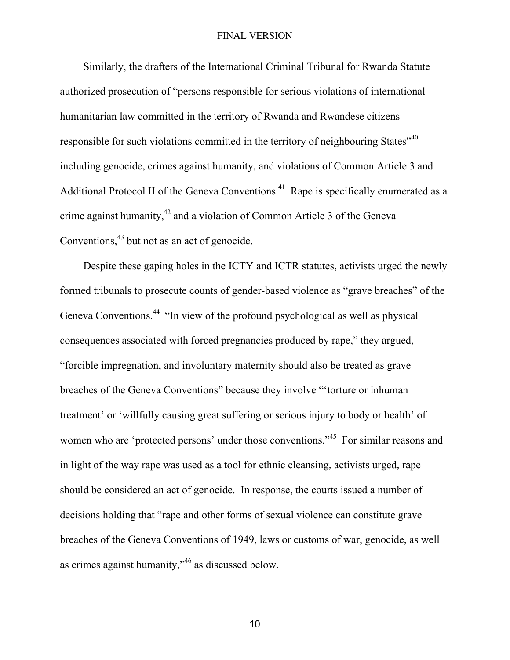Similarly, the drafters of the International Criminal Tribunal for Rwanda Statute authorized prosecution of "persons responsible for serious violations of international humanitarian law committed in the territory of Rwanda and Rwandese citizens responsible for such violations committed in the territory of neighbouring States<sup>"40</sup> including genocide, crimes against humanity, and violations of Common Article 3 and Additional Protocol II of the Geneva Conventions.<sup>41</sup> Rape is specifically enumerated as a crime against humanity, $^{42}$  and a violation of Common Article 3 of the Geneva Conventions,  $43$  but not as an act of genocide.

Despite these gaping holes in the ICTY and ICTR statutes, activists urged the newly formed tribunals to prosecute counts of gender-based violence as "grave breaches" of the Geneva Conventions.<sup>44</sup> "In view of the profound psychological as well as physical consequences associated with forced pregnancies produced by rape," they argued, "forcible impregnation, and involuntary maternity should also be treated as grave breaches of the Geneva Conventions" because they involve "'torture or inhuman treatment' or 'willfully causing great suffering or serious injury to body or health' of women who are 'protected persons' under those conventions."<sup>45</sup> For similar reasons and in light of the way rape was used as a tool for ethnic cleansing, activists urged, rape should be considered an act of genocide. In response, the courts issued a number of decisions holding that "rape and other forms of sexual violence can constitute grave breaches of the Geneva Conventions of 1949, laws or customs of war, genocide, as well as crimes against humanity,"  $46$  as discussed below.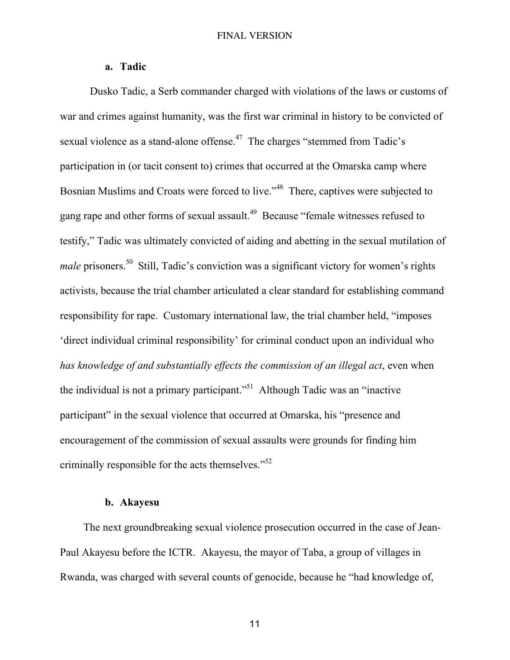## a. Tadic

Dusko Tadic, a Serb commander charged with violations of the laws or customs of war and crimes against humanity, was the first war criminal in history to be convicted of sexual violence as a stand-alone offense.<sup>47</sup> The charges "stemmed from Tadic's participation in (or tacit consent to) crimes that occurred at the Omarska camp where Bosnian Muslims and Croats were forced to live."<sup>48</sup> There, captives were subjected to gang rape and other forms of sexual assault.<sup>49</sup> Because "female witnesses refused to testify," Tadic was ultimately convicted of aiding and abetting in the sexual mutilation of *male* prisoners.<sup>50</sup> Still, Tadic's conviction was a significant victory for women's rights activists, because the trial chamber articulated a clear standard for establishing command responsibility for rape. Customary international law, the trial chamber held, "imposes 'direct individual criminal responsibility' for criminal conduct upon an individual who *has knowledge of and substantially effects the commission of an illegal act*, even when the individual is not a primary participant."<sup>51</sup> Although Tadic was an "inactive participant" in the sexual violence that occurred at Omarska, his "presence and encouragement of the commission of sexual assaults were grounds for finding him criminally responsible for the acts themselves."<sup>52</sup>

## b. Akayesu

The next groundbreaking sexual violence prosecution occurred in the case of Jean-Paul Akayesu before the ICTR. Akayesu, the mayor of Taba, a group of villages in Rwanda, was charged with several counts of genocide, because he "had knowledge of,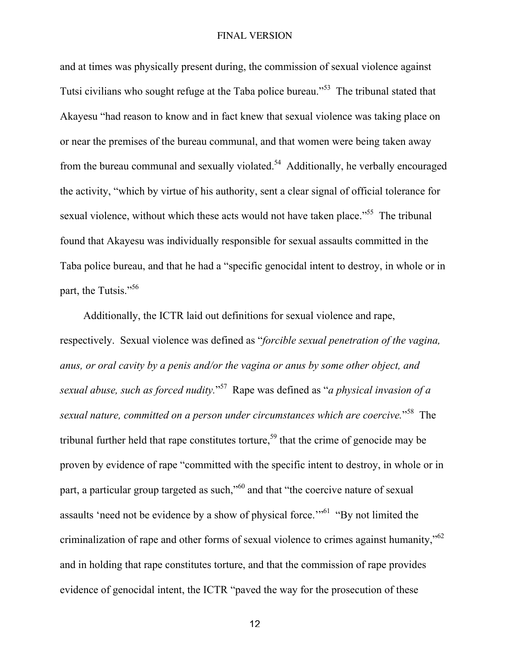and at times was physically present during, the commission of sexual violence against Tutsi civilians who sought refuge at the Taba police bureau."<sup>53</sup> The tribunal stated that Akayesu "had reason to know and in fact knew that sexual violence was taking place on or near the premises of the bureau communal, and that women were being taken away from the bureau communal and sexually violated.<sup>54</sup> Additionally, he verbally encouraged the activity, "which by virtue of his authority, sent a clear signal of official tolerance for sexual violence, without which these acts would not have taken place."<sup>55</sup> The tribunal found that Akayesu was individually responsible for sexual assaults committed in the Taba police bureau, and that he had a "specific genocidal intent to destroy, in whole or in part, the Tutsis."<sup>56</sup>

Additionally, the ICTR laid out definitions for sexual violence and rape, respectively. Sexual violence was defined as "*forcible sexual penetration of the vagina, anus, or oral cavity by a penis and/or the vagina or anus by some other object, and sexual abuse, such as forced nudity.*" 57 Rape was defined as "*a physical invasion of a* sexual nature, committed on a person under circumstances which are coercive."<sup>58</sup> The tribunal further held that rape constitutes torture,<sup>59</sup> that the crime of genocide may be proven by evidence of rape "committed with the specific intent to destroy, in whole or in part, a particular group targeted as such,"<sup>60</sup> and that "the coercive nature of sexual assaults 'need not be evidence by a show of physical force.'"<sup>61</sup> "By not limited the criminalization of rape and other forms of sexual violence to crimes against humanity,"<sup>62</sup> and in holding that rape constitutes torture, and that the commission of rape provides evidence of genocidal intent, the ICTR "paved the way for the prosecution of these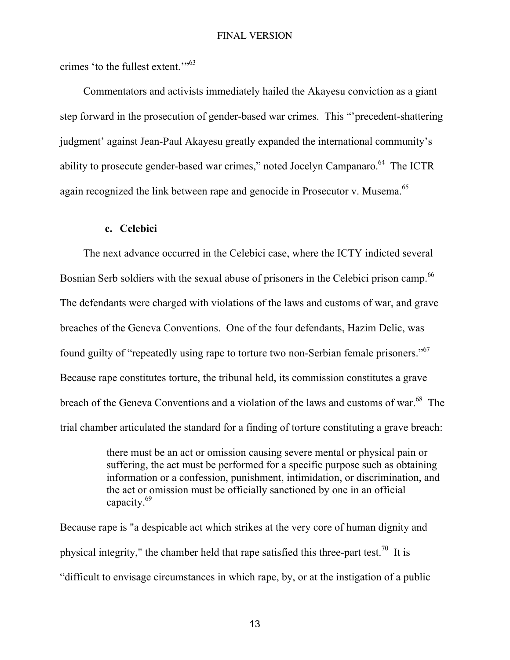crimes 'to the fullest extent."<sup>53</sup>

Commentators and activists immediately hailed the Akayesu conviction as a giant step forward in the prosecution of gender-based war crimes. This "'precedent-shattering judgment' against Jean-Paul Akayesu greatly expanded the international community's ability to prosecute gender-based war crimes," noted Jocelyn Campanaro.<sup>64</sup> The ICTR again recognized the link between rape and genocide in Prosecutor v. Musema.<sup>65</sup>

### c. Celebici

The next advance occurred in the Celebici case, where the ICTY indicted several Bosnian Serb soldiers with the sexual abuse of prisoners in the Celebici prison camp.<sup>66</sup> The defendants were charged with violations of the laws and customs of war, and grave breaches of the Geneva Conventions. One of the four defendants, Hazim Delic, was found guilty of "repeatedly using rape to torture two non-Serbian female prisoners."<sup>67</sup> Because rape constitutes torture, the tribunal held, its commission constitutes a grave breach of the Geneva Conventions and a violation of the laws and customs of war.<sup>68</sup> The trial chamber articulated the standard for a finding of torture constituting a grave breach:

> there must be an act or omission causing severe mental or physical pain or suffering, the act must be performed for a specific purpose such as obtaining information or a confession, punishment, intimidation, or discrimination, and the act or omission must be officially sanctioned by one in an official capacity.69

Because rape is "a despicable act which strikes at the very core of human dignity and physical integrity," the chamber held that rape satisfied this three-part test.<sup>70</sup> It is "difficult to envisage circumstances in which rape, by, or at the instigation of a public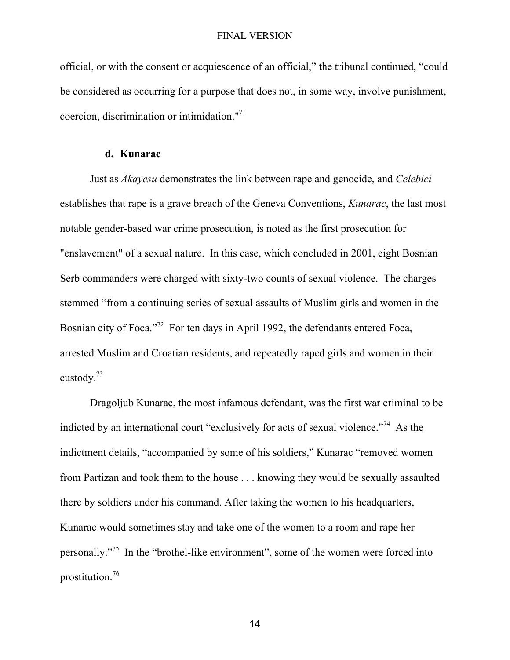official, or with the consent or acquiescence of an official," the tribunal continued, "could be considered as occurring for a purpose that does not, in some way, involve punishment, coercion, discrimination or intimidation."71

## d. Kunarac

Just as *Akayesu* demonstrates the link between rape and genocide, and *Celebici* establishes that rape is a grave breach of the Geneva Conventions, *Kunarac*, the last most notable gender-based war crime prosecution, is noted as the first prosecution for "enslavement" of a sexual nature. In this case, which concluded in 2001, eight Bosnian Serb commanders were charged with sixty-two counts of sexual violence. The charges stemmed "from a continuing series of sexual assaults of Muslim girls and women in the Bosnian city of Foca."<sup>72</sup> For ten days in April 1992, the defendants entered Foca, arrested Muslim and Croatian residents, and repeatedly raped girls and women in their custody.73

Dragoljub Kunarac, the most infamous defendant, was the first war criminal to be indicted by an international court "exclusively for acts of sexual violence."<sup>74</sup> As the indictment details, "accompanied by some of his soldiers," Kunarac "removed women from Partizan and took them to the house . . . knowing they would be sexually assaulted there by soldiers under his command. After taking the women to his headquarters, Kunarac would sometimes stay and take one of the women to a room and rape her personally."<sup>75</sup> In the "brothel-like environment", some of the women were forced into prostitution.<sup>76</sup>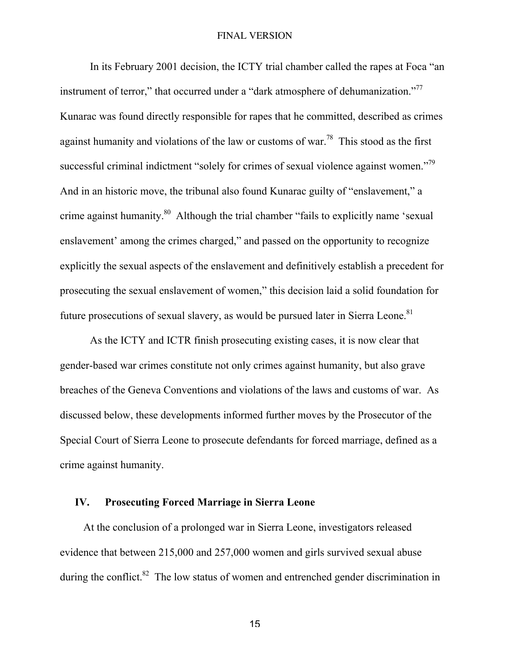In its February 2001 decision, the ICTY trial chamber called the rapes at Foca "an instrument of terror," that occurred under a "dark atmosphere of dehumanization."<sup>77</sup> Kunarac was found directly responsible for rapes that he committed, described as crimes against humanity and violations of the law or customs of war.<sup>78</sup> This stood as the first successful criminal indictment "solely for crimes of sexual violence against women."<sup>79</sup> And in an historic move, the tribunal also found Kunarac guilty of "enslavement," a crime against humanity.<sup>80</sup> Although the trial chamber "fails to explicitly name 'sexual enslavement' among the crimes charged," and passed on the opportunity to recognize explicitly the sexual aspects of the enslavement and definitively establish a precedent for prosecuting the sexual enslavement of women," this decision laid a solid foundation for future prosecutions of sexual slavery, as would be pursued later in Sierra Leone.<sup>81</sup>

As the ICTY and ICTR finish prosecuting existing cases, it is now clear that gender-based war crimes constitute not only crimes against humanity, but also grave breaches of the Geneva Conventions and violations of the laws and customs of war. As discussed below, these developments informed further moves by the Prosecutor of the Special Court of Sierra Leone to prosecute defendants for forced marriage, defined as a crime against humanity.

## IV. Prosecuting Forced Marriage in Sierra Leone

At the conclusion of a prolonged war in Sierra Leone, investigators released evidence that between 215,000 and 257,000 women and girls survived sexual abuse during the conflict.<sup>82</sup> The low status of women and entrenched gender discrimination in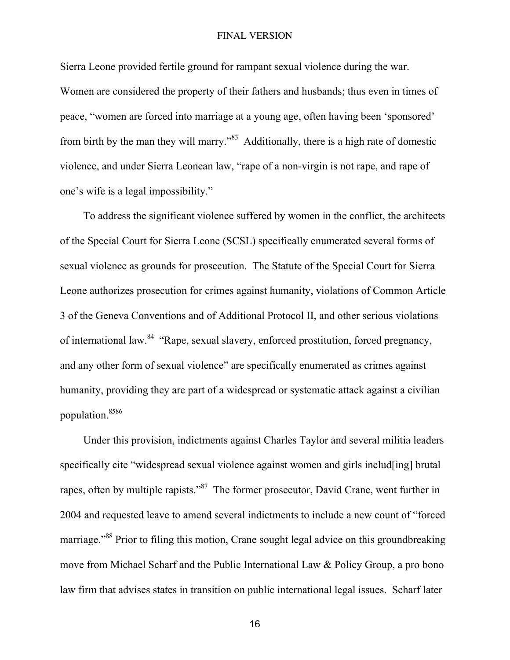Sierra Leone provided fertile ground for rampant sexual violence during the war. Women are considered the property of their fathers and husbands; thus even in times of peace, "women are forced into marriage at a young age, often having been 'sponsored' from birth by the man they will marry."<sup>83</sup> Additionally, there is a high rate of domestic violence, and under Sierra Leonean law, "rape of a non-virgin is not rape, and rape of one's wife is a legal impossibility."

To address the significant violence suffered by women in the conflict, the architects of the Special Court for Sierra Leone (SCSL) specifically enumerated several forms of sexual violence as grounds for prosecution. The Statute of the Special Court for Sierra Leone authorizes prosecution for crimes against humanity, violations of Common Article 3 of the Geneva Conventions and of Additional Protocol II, and other serious violations of international law.<sup>84</sup> "Rape, sexual slavery, enforced prostitution, forced pregnancy, and any other form of sexual violence" are specifically enumerated as crimes against humanity, providing they are part of a widespread or systematic attack against a civilian population.8586

Under this provision, indictments against Charles Taylor and several militia leaders specifically cite "widespread sexual violence against women and girls includ[ing] brutal rapes, often by multiple rapists."<sup>87</sup> The former prosecutor, David Crane, went further in 2004 and requested leave to amend several indictments to include a new count of "forced marriage."<sup>88</sup> Prior to filing this motion, Crane sought legal advice on this groundbreaking move from Michael Scharf and the Public International Law & Policy Group, a pro bono law firm that advises states in transition on public international legal issues. Scharf later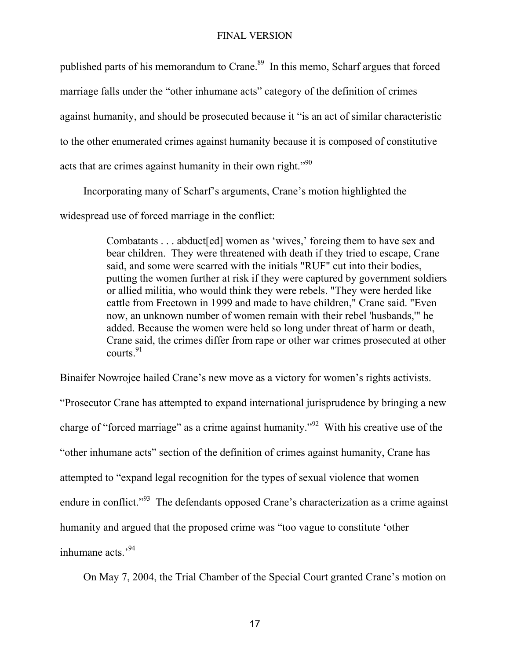published parts of his memorandum to Crane.<sup>89</sup> In this memo, Scharf argues that forced marriage falls under the "other inhumane acts" category of the definition of crimes against humanity, and should be prosecuted because it "is an act of similar characteristic to the other enumerated crimes against humanity because it is composed of constitutive acts that are crimes against humanity in their own right."<sup>90</sup>

Incorporating many of Scharf's arguments, Crane's motion highlighted the

widespread use of forced marriage in the conflict:

Combatants . . . abduct[ed] women as 'wives,' forcing them to have sex and bear children. They were threatened with death if they tried to escape, Crane said, and some were scarred with the initials "RUF" cut into their bodies, putting the women further at risk if they were captured by government soldiers or allied militia, who would think they were rebels. "They were herded like cattle from Freetown in 1999 and made to have children," Crane said. "Even now, an unknown number of women remain with their rebel 'husbands,'" he added. Because the women were held so long under threat of harm or death, Crane said, the crimes differ from rape or other war crimes prosecuted at other courts. $91$ 

Binaifer Nowrojee hailed Crane's new move as a victory for women's rights activists.

"Prosecutor Crane has attempted to expand international jurisprudence by bringing a new charge of "forced marriage" as a crime against humanity."<sup>92</sup> With his creative use of the "other inhumane acts" section of the definition of crimes against humanity, Crane has attempted to "expand legal recognition for the types of sexual violence that women endure in conflict."<sup>93</sup> The defendants opposed Crane's characterization as a crime against humanity and argued that the proposed crime was "too vague to constitute 'other inhumane acts<sup>394</sup>

On May 7, 2004, the Trial Chamber of the Special Court granted Crane's motion on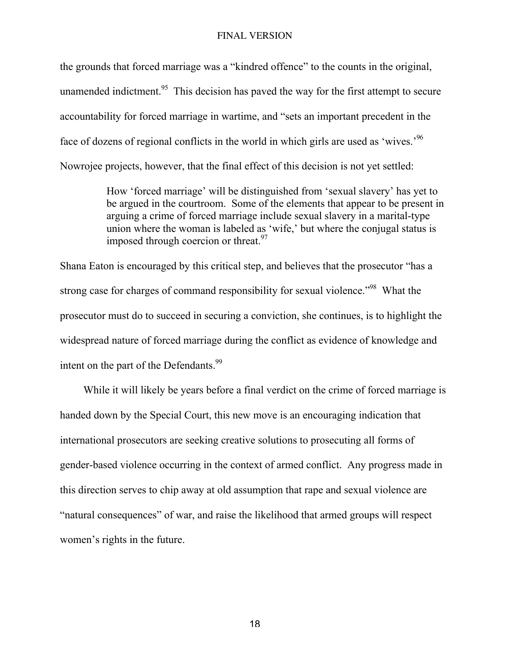the grounds that forced marriage was a "kindred offence" to the counts in the original, unamended indictment.<sup>95</sup> This decision has paved the way for the first attempt to secure accountability for forced marriage in wartime, and "sets an important precedent in the face of dozens of regional conflicts in the world in which girls are used as 'wives.'96 Nowrojee projects, however, that the final effect of this decision is not yet settled:

> How 'forced marriage' will be distinguished from 'sexual slavery' has yet to be argued in the courtroom. Some of the elements that appear to be present in arguing a crime of forced marriage include sexual slavery in a marital-type union where the woman is labeled as 'wife,' but where the conjugal status is imposed through coercion or threat.<sup>97</sup>

Shana Eaton is encouraged by this critical step, and believes that the prosecutor "has a strong case for charges of command responsibility for sexual violence."<sup>98</sup> What the prosecutor must do to succeed in securing a conviction, she continues, is to highlight the widespread nature of forced marriage during the conflict as evidence of knowledge and intent on the part of the Defendants.<sup>99</sup>

While it will likely be years before a final verdict on the crime of forced marriage is handed down by the Special Court, this new move is an encouraging indication that international prosecutors are seeking creative solutions to prosecuting all forms of gender-based violence occurring in the context of armed conflict. Any progress made in this direction serves to chip away at old assumption that rape and sexual violence are "natural consequences" of war, and raise the likelihood that armed groups will respect women's rights in the future.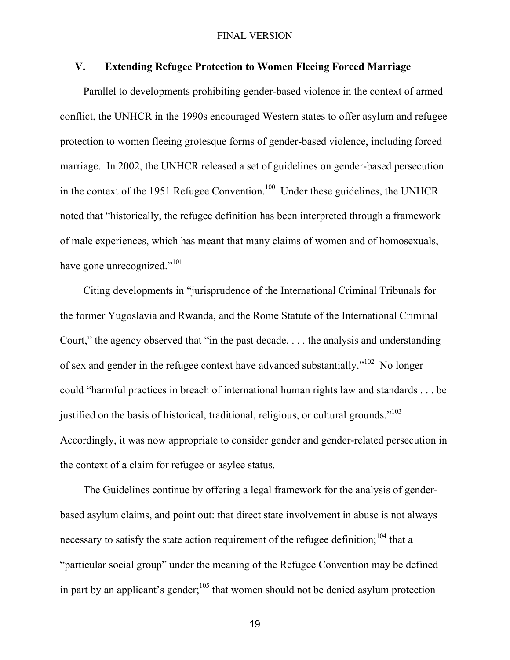## V. Extending Refugee Protection to Women Fleeing Forced Marriage

Parallel to developments prohibiting gender-based violence in the context of armed conflict, the UNHCR in the 1990s encouraged Western states to offer asylum and refugee protection to women fleeing grotesque forms of gender-based violence, including forced marriage. In 2002, the UNHCR released a set of guidelines on gender-based persecution in the context of the 1951 Refugee Convention.<sup>100</sup> Under these guidelines, the UNHCR noted that "historically, the refugee definition has been interpreted through a framework of male experiences, which has meant that many claims of women and of homosexuals, have gone unrecognized."<sup>101</sup>

Citing developments in "jurisprudence of the International Criminal Tribunals for the former Yugoslavia and Rwanda, and the Rome Statute of the International Criminal Court," the agency observed that "in the past decade, . . . the analysis and understanding of sex and gender in the refugee context have advanced substantially."<sup>102</sup> No longer could "harmful practices in breach of international human rights law and standards . . . be justified on the basis of historical, traditional, religious, or cultural grounds."<sup>103</sup> Accordingly, it was now appropriate to consider gender and gender-related persecution in the context of a claim for refugee or asylee status.

The Guidelines continue by offering a legal framework for the analysis of genderbased asylum claims, and point out: that direct state involvement in abuse is not always necessary to satisfy the state action requirement of the refugee definition;  $104$  that a "particular social group" under the meaning of the Refugee Convention may be defined in part by an applicant's gender;  $105$  that women should not be denied asylum protection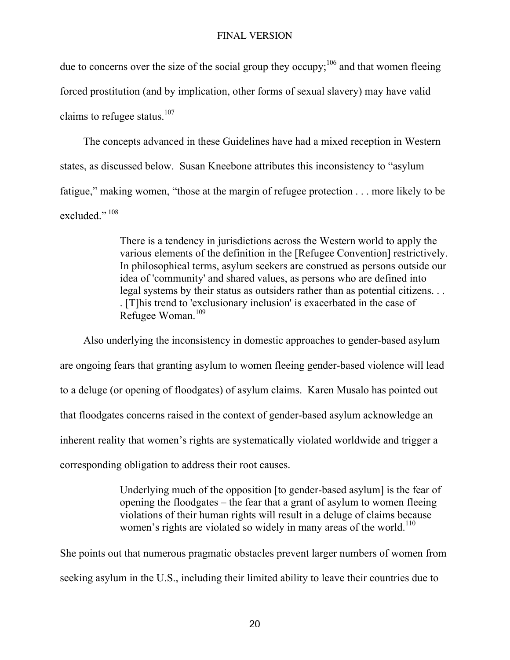due to concerns over the size of the social group they occupy;  $106$  and that women fleeing forced prostitution (and by implication, other forms of sexual slavery) may have valid claims to refugee status. $107$ 

The concepts advanced in these Guidelines have had a mixed reception in Western states, as discussed below. Susan Kneebone attributes this inconsistency to "asylum fatigue," making women, "those at the margin of refugee protection . . . more likely to be excluded $\cdot$ <sup>, 108</sup>

> There is a tendency in jurisdictions across the Western world to apply the various elements of the definition in the [Refugee Convention] restrictively. In philosophical terms, asylum seekers are construed as persons outside our idea of 'community' and shared values, as persons who are defined into legal systems by their status as outsiders rather than as potential citizens. . . . [T]his trend to 'exclusionary inclusion' is exacerbated in the case of Refugee Woman.<sup>109</sup>

Also underlying the inconsistency in domestic approaches to gender-based asylum are ongoing fears that granting asylum to women fleeing gender-based violence will lead to a deluge (or opening of floodgates) of asylum claims. Karen Musalo has pointed out that floodgates concerns raised in the context of gender-based asylum acknowledge an inherent reality that women's rights are systematically violated worldwide and trigger a corresponding obligation to address their root causes.

> Underlying much of the opposition [to gender-based asylum] is the fear of opening the floodgates – the fear that a grant of asylum to women fleeing violations of their human rights will result in a deluge of claims because women's rights are violated so widely in many areas of the world.<sup>110</sup>

She points out that numerous pragmatic obstacles prevent larger numbers of women from seeking asylum in the U.S., including their limited ability to leave their countries due to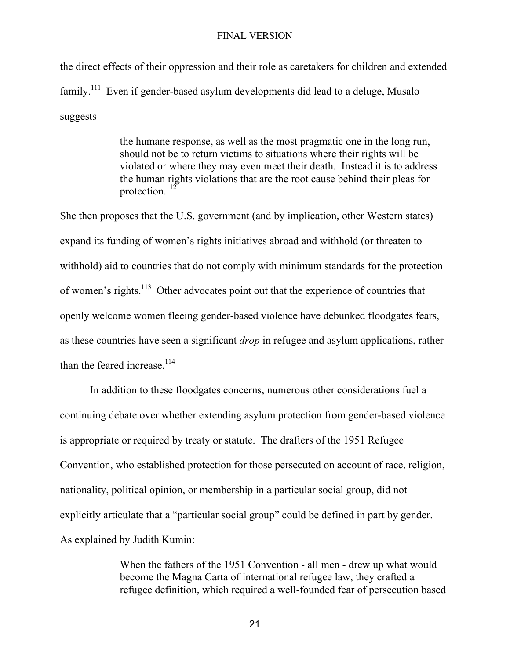the direct effects of their oppression and their role as caretakers for children and extended  $family<sup>111</sup>$  Even if gender-based asylum developments did lead to a deluge, Musalo suggests

> the humane response, as well as the most pragmatic one in the long run, should not be to return victims to situations where their rights will be violated or where they may even meet their death. Instead it is to address the human rights violations that are the root cause behind their pleas for protection.<sup>112</sup>

She then proposes that the U.S. government (and by implication, other Western states) expand its funding of women's rights initiatives abroad and withhold (or threaten to withhold) aid to countries that do not comply with minimum standards for the protection of women's rights.<sup>113</sup> Other advocates point out that the experience of countries that openly welcome women fleeing gender-based violence have debunked floodgates fears, as these countries have seen a significant *drop* in refugee and asylum applications, rather than the feared increase  $^{114}$ 

In addition to these floodgates concerns, numerous other considerations fuel a continuing debate over whether extending asylum protection from gender-based violence is appropriate or required by treaty or statute. The drafters of the 1951 Refugee Convention, who established protection for those persecuted on account of race, religion, nationality, political opinion, or membership in a particular social group, did not explicitly articulate that a "particular social group" could be defined in part by gender. As explained by Judith Kumin:

> When the fathers of the 1951 Convention - all men - drew up what would become the Magna Carta of international refugee law, they crafted a refugee definition, which required a well-founded fear of persecution based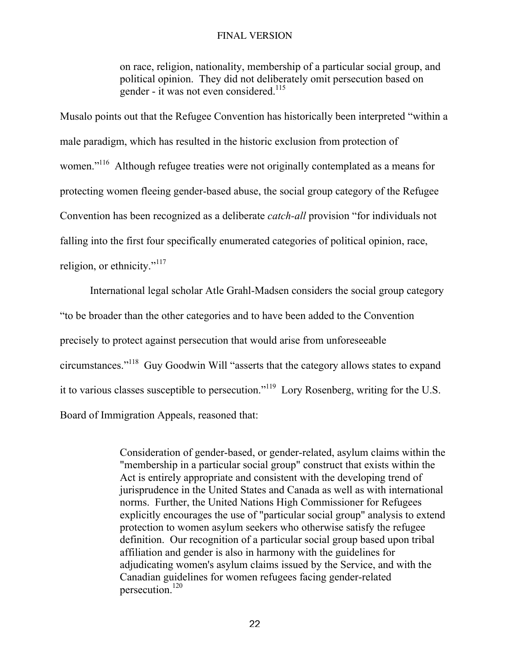on race, religion, nationality, membership of a particular social group, and political opinion. They did not deliberately omit persecution based on gender - it was not even considered.<sup>115</sup>

Musalo points out that the Refugee Convention has historically been interpreted "within a male paradigm, which has resulted in the historic exclusion from protection of women."<sup>116</sup> Although refugee treaties were not originally contemplated as a means for protecting women fleeing gender-based abuse, the social group category of the Refugee Convention has been recognized as a deliberate *catch-all* provision "for individuals not falling into the first four specifically enumerated categories of political opinion, race, religion, or ethnicity."<sup>117</sup>

International legal scholar Atle Grahl-Madsen considers the social group category "to be broader than the other categories and to have been added to the Convention precisely to protect against persecution that would arise from unforeseeable circumstances."<sup>118</sup> Guy Goodwin Will "asserts that the category allows states to expand it to various classes susceptible to persecution."<sup>119</sup> Lory Rosenberg, writing for the U.S. Board of Immigration Appeals, reasoned that:

> Consideration of gender-based, or gender-related, asylum claims within the "membership in a particular social group" construct that exists within the Act is entirely appropriate and consistent with the developing trend of jurisprudence in the United States and Canada as well as with international norms. Further, the United Nations High Commissioner for Refugees explicitly encourages the use of "particular social group" analysis to extend protection to women asylum seekers who otherwise satisfy the refugee definition. Our recognition of a particular social group based upon tribal affiliation and gender is also in harmony with the guidelines for adjudicating women's asylum claims issued by the Service, and with the Canadian guidelines for women refugees facing gender-related persecution.120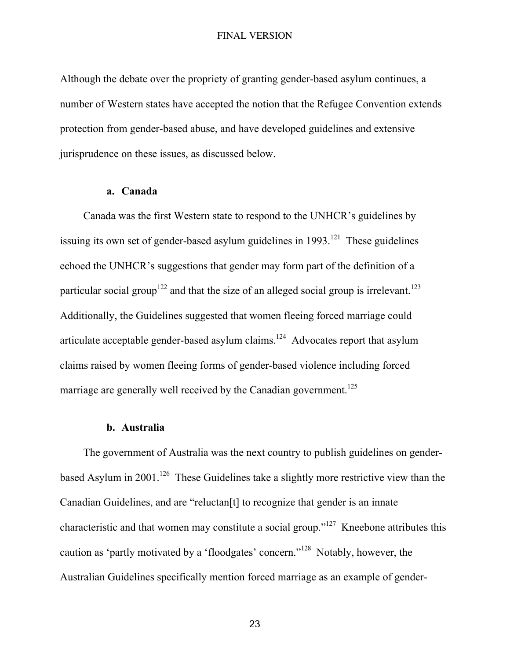Although the debate over the propriety of granting gender-based asylum continues, a number of Western states have accepted the notion that the Refugee Convention extends protection from gender-based abuse, and have developed guidelines and extensive jurisprudence on these issues, as discussed below.

## a. Canada

Canada was the first Western state to respond to the UNHCR's guidelines by issuing its own set of gender-based asylum guidelines in  $1993$ <sup>121</sup> These guidelines echoed the UNHCR's suggestions that gender may form part of the definition of a particular social group<sup>122</sup> and that the size of an alleged social group is irrelevant.<sup>123</sup> Additionally, the Guidelines suggested that women fleeing forced marriage could articulate acceptable gender-based asylum claims. $124$  Advocates report that asylum claims raised by women fleeing forms of gender-based violence including forced marriage are generally well received by the Canadian government.<sup>125</sup>

## b. Australia

The government of Australia was the next country to publish guidelines on genderbased Asylum in 2001.<sup>126</sup> These Guidelines take a slightly more restrictive view than the Canadian Guidelines, and are "reluctan[t] to recognize that gender is an innate characteristic and that women may constitute a social group."<sup>127</sup> Kneebone attributes this caution as 'partly motivated by a 'floodgates' concern."<sup>128</sup> Notably, however, the Australian Guidelines specifically mention forced marriage as an example of gender-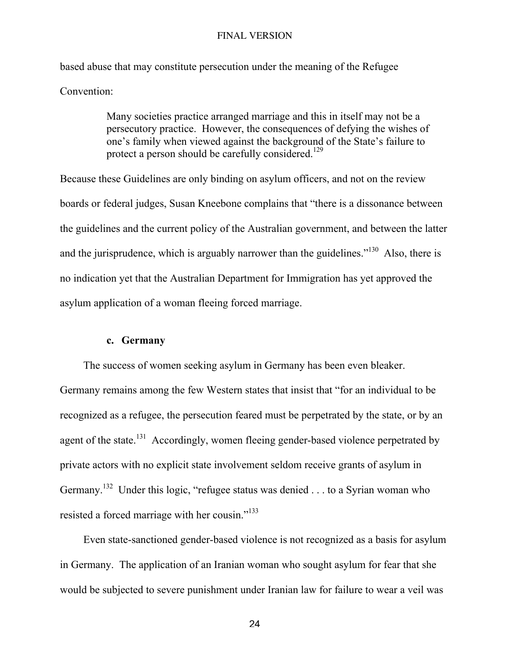based abuse that may constitute persecution under the meaning of the Refugee Convention:

> Many societies practice arranged marriage and this in itself may not be a persecutory practice. However, the consequences of defying the wishes of one's family when viewed against the background of the State's failure to protect a person should be carefully considered.<sup>129</sup>

Because these Guidelines are only binding on asylum officers, and not on the review boards or federal judges, Susan Kneebone complains that "there is a dissonance between the guidelines and the current policy of the Australian government, and between the latter and the jurisprudence, which is arguably narrower than the guidelines."<sup>130</sup> Also, there is no indication yet that the Australian Department for Immigration has yet approved the asylum application of a woman fleeing forced marriage.

## c. Germany

The success of women seeking asylum in Germany has been even bleaker. Germany remains among the few Western states that insist that "for an individual to be recognized as a refugee, the persecution feared must be perpetrated by the state, or by an agent of the state.<sup>131</sup> Accordingly, women fleeing gender-based violence perpetrated by private actors with no explicit state involvement seldom receive grants of asylum in Germany.<sup>132</sup> Under this logic, "refugee status was denied . . . to a Syrian woman who resisted a forced marriage with her cousin."<sup>133</sup>

Even state-sanctioned gender-based violence is not recognized as a basis for asylum in Germany. The application of an Iranian woman who sought asylum for fear that she would be subjected to severe punishment under Iranian law for failure to wear a veil was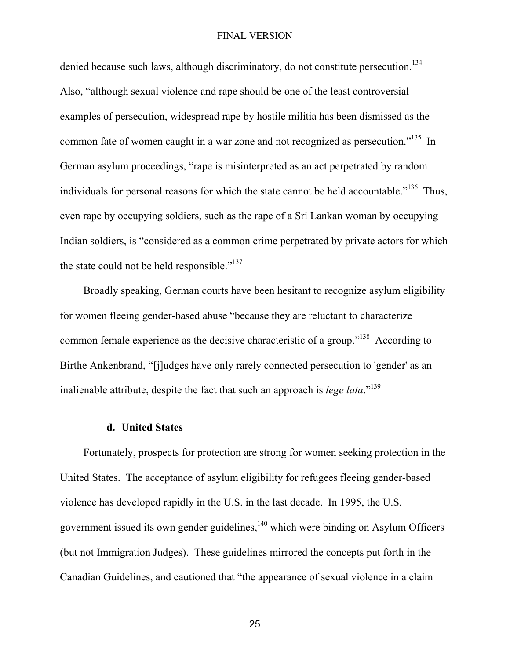denied because such laws, although discriminatory, do not constitute persecution.<sup>134</sup> Also, "although sexual violence and rape should be one of the least controversial examples of persecution, widespread rape by hostile militia has been dismissed as the common fate of women caught in a war zone and not recognized as persecution."<sup>135</sup> In German asylum proceedings, "rape is misinterpreted as an act perpetrated by random individuals for personal reasons for which the state cannot be held accountable."<sup>136</sup> Thus, even rape by occupying soldiers, such as the rape of a Sri Lankan woman by occupying Indian soldiers, is "considered as a common crime perpetrated by private actors for which the state could not be held responsible."137

Broadly speaking, German courts have been hesitant to recognize asylum eligibility for women fleeing gender-based abuse "because they are reluctant to characterize common female experience as the decisive characteristic of a group."<sup>138</sup> According to Birthe Ankenbrand, "[j]udges have only rarely connected persecution to 'gender' as an inalienable attribute, despite the fact that such an approach is *lege lata*."139

## d. United States

Fortunately, prospects for protection are strong for women seeking protection in the United States. The acceptance of asylum eligibility for refugees fleeing gender-based violence has developed rapidly in the U.S. in the last decade. In 1995, the U.S. government issued its own gender guidelines, $140$  which were binding on Asylum Officers (but not Immigration Judges). These guidelines mirrored the concepts put forth in the Canadian Guidelines, and cautioned that "the appearance of sexual violence in a claim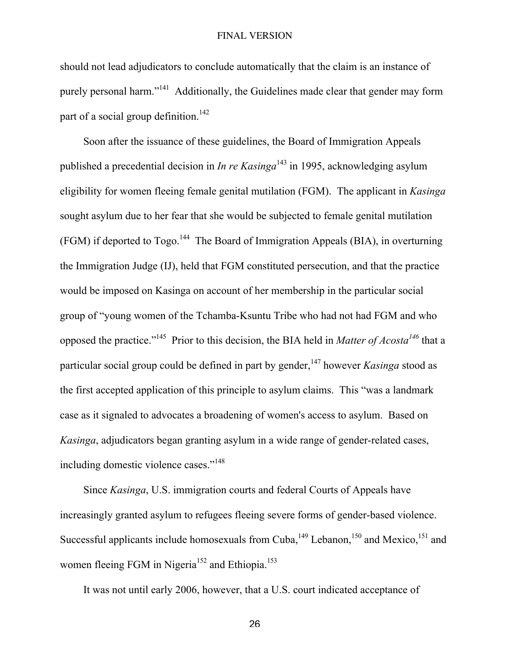should not lead adjudicators to conclude automatically that the claim is an instance of purely personal harm."<sup>141</sup> Additionally, the Guidelines made clear that gender may form part of a social group definition.<sup>142</sup>

Soon after the issuance of these guidelines, the Board of Immigration Appeals published a precedential decision in *In re Kasinga*<sup>143</sup> in 1995, acknowledging asylum eligibility for women fleeing female genital mutilation (FGM). The applicant in *Kasinga* sought asylum due to her fear that she would be subjected to female genital mutilation (FGM) if deported to Togo.<sup>144</sup> The Board of Immigration Appeals (BIA), in overturning the Immigration Judge (IJ), held that FGM constituted persecution, and that the practice would be imposed on Kasinga on account of her membership in the particular social group of "young women of the Tchamba-Ksuntu Tribe who had not had FGM and who opposed the practice."<sup>145</sup> Prior to this decision, the BIA held in *Matter of Acosta*<sup>146</sup> that a particular social group could be defined in part by gender,<sup>147</sup> however *Kasinga* stood as the first accepted application of this principle to asylum claims. This "was a landmark case as it signaled to advocates a broadening of women's access to asylum. Based on *Kasinga*, adjudicators began granting asylum in a wide range of gender-related cases, including domestic violence cases."<sup>148</sup>

Since *Kasinga*, U.S. immigration courts and federal Courts of Appeals have increasingly granted asylum to refugees fleeing severe forms of gender-based violence. Successful applicants include homosexuals from Cuba,  $149$  Lebanon,  $150$  and Mexico,  $151$  and women fleeing FGM in Nigeria<sup>152</sup> and Ethiopia.<sup>153</sup>

It was not until early 2006, however, that a U.S. court indicated acceptance of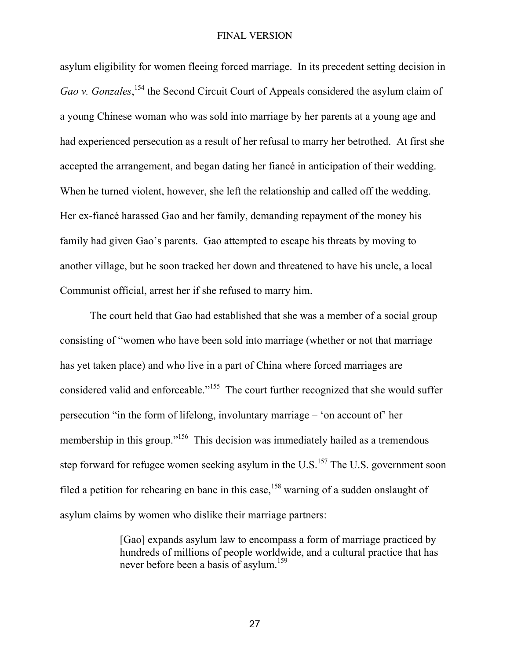asylum eligibility for women fleeing forced marriage. In its precedent setting decision in Gao v. Gonzales,<sup>154</sup> the Second Circuit Court of Appeals considered the asylum claim of a young Chinese woman who was sold into marriage by her parents at a young age and had experienced persecution as a result of her refusal to marry her betrothed. At first she accepted the arrangement, and began dating her fiancé in anticipation of their wedding. When he turned violent, however, she left the relationship and called off the wedding. Her ex-fiancé harassed Gao and her family, demanding repayment of the money his family had given Gao's parents. Gao attempted to escape his threats by moving to another village, but he soon tracked her down and threatened to have his uncle, a local Communist official, arrest her if she refused to marry him.

The court held that Gao had established that she was a member of a social group consisting of "women who have been sold into marriage (whether or not that marriage has yet taken place) and who live in a part of China where forced marriages are considered valid and enforceable."<sup>155</sup> The court further recognized that she would suffer persecution "in the form of lifelong, involuntary marriage – 'on account of' her membership in this group."<sup>156</sup> This decision was immediately hailed as a tremendous step forward for refugee women seeking asylum in the U.S.<sup>157</sup> The U.S. government soon filed a petition for rehearing en banc in this case,  $158$  warning of a sudden onslaught of asylum claims by women who dislike their marriage partners:

> [Gao] expands asylum law to encompass a form of marriage practiced by hundreds of millions of people worldwide, and a cultural practice that has never before been a basis of asylum.<sup>159</sup>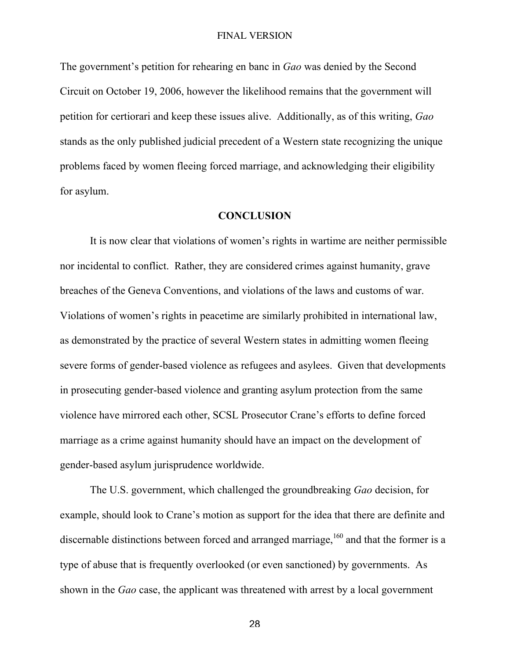The government's petition for rehearing en banc in *Gao* was denied by the Second Circuit on October 19, 2006, however the likelihood remains that the government will petition for certiorari and keep these issues alive. Additionally, as of this writing, *Gao* stands as the only published judicial precedent of a Western state recognizing the unique problems faced by women fleeing forced marriage, and acknowledging their eligibility for asylum.

## **CONCLUSION**

It is now clear that violations of women's rights in wartime are neither permissible nor incidental to conflict. Rather, they are considered crimes against humanity, grave breaches of the Geneva Conventions, and violations of the laws and customs of war. Violations of women's rights in peacetime are similarly prohibited in international law, as demonstrated by the practice of several Western states in admitting women fleeing severe forms of gender-based violence as refugees and asylees. Given that developments in prosecuting gender-based violence and granting asylum protection from the same violence have mirrored each other, SCSL Prosecutor Crane's efforts to define forced marriage as a crime against humanity should have an impact on the development of gender-based asylum jurisprudence worldwide.

The U.S. government, which challenged the groundbreaking *Gao* decision, for example, should look to Crane's motion as support for the idea that there are definite and discernable distinctions between forced and arranged marriage,  $160$  and that the former is a type of abuse that is frequently overlooked (or even sanctioned) by governments. As shown in the *Gao* case, the applicant was threatened with arrest by a local government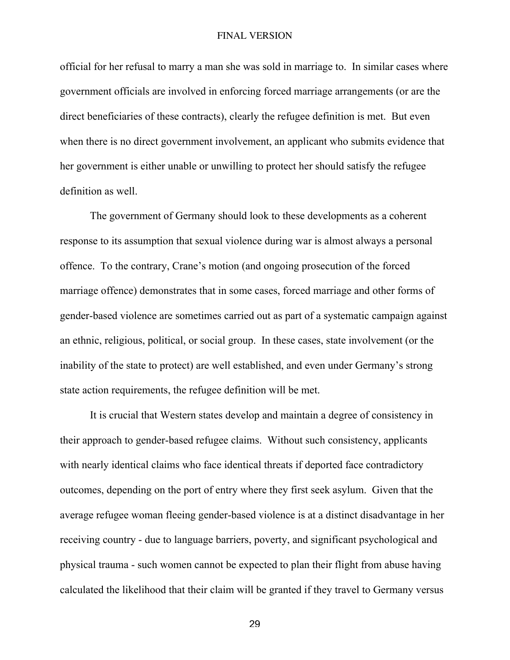official for her refusal to marry a man she was sold in marriage to. In similar cases where government officials are involved in enforcing forced marriage arrangements (or are the direct beneficiaries of these contracts), clearly the refugee definition is met. But even when there is no direct government involvement, an applicant who submits evidence that her government is either unable or unwilling to protect her should satisfy the refugee definition as well.

The government of Germany should look to these developments as a coherent response to its assumption that sexual violence during war is almost always a personal offence. To the contrary, Crane's motion (and ongoing prosecution of the forced marriage offence) demonstrates that in some cases, forced marriage and other forms of gender-based violence are sometimes carried out as part of a systematic campaign against an ethnic, religious, political, or social group. In these cases, state involvement (or the inability of the state to protect) are well established, and even under Germany's strong state action requirements, the refugee definition will be met.

It is crucial that Western states develop and maintain a degree of consistency in their approach to gender-based refugee claims. Without such consistency, applicants with nearly identical claims who face identical threats if deported face contradictory outcomes, depending on the port of entry where they first seek asylum. Given that the average refugee woman fleeing gender-based violence is at a distinct disadvantage in her receiving country - due to language barriers, poverty, and significant psychological and physical trauma - such women cannot be expected to plan their flight from abuse having calculated the likelihood that their claim will be granted if they travel to Germany versus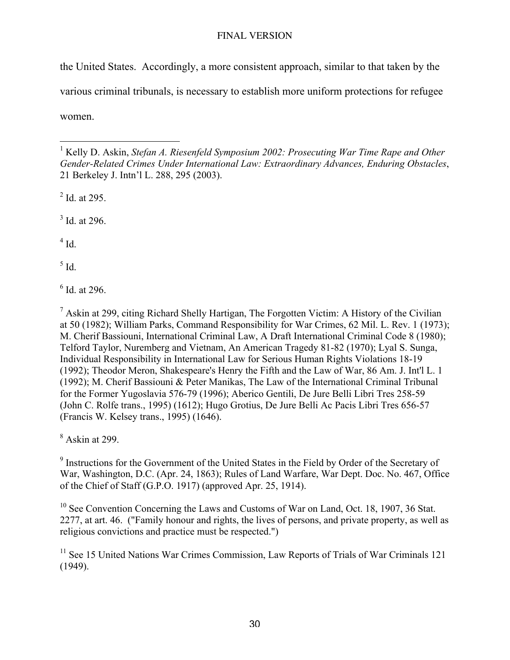the United States. Accordingly, a more consistent approach, similar to that taken by the various criminal tribunals, is necessary to establish more uniform protections for refugee women.

 $2^2$  Id. at 295.

 $3$  Id. at 296.

 $4$  Id.

 $<sup>5</sup>$  Id.</sup>

6 Id. at 296.

<sup>7</sup> Askin at 299, citing Richard Shelly Hartigan, The Forgotten Victim: A History of the Civilian at 50 (1982); William Parks, Command Responsibility for War Crimes, 62 Mil. L. Rev. 1 (1973); M. Cherif Bassiouni, International Criminal Law, A Draft International Criminal Code 8 (1980); Telford Taylor, Nuremberg and Vietnam, An American Tragedy 81-82 (1970); Lyal S. Sunga, Individual Responsibility in International Law for Serious Human Rights Violations 18-19 (1992); Theodor Meron, Shakespeare's Henry the Fifth and the Law of War, 86 Am. J. Int'l L. 1 (1992); M. Cherif Bassiouni & Peter Manikas, The Law of the International Criminal Tribunal for the Former Yugoslavia 576-79 (1996); Aberico Gentili, De Jure Belli Libri Tres 258-59 (John C. Rolfe trans., 1995) (1612); Hugo Grotius, De Jure Belli Ac Pacis Libri Tres 656-57 (Francis W. Kelsey trans., 1995) (1646).

 $8$  Askin at 299.

<sup>9</sup> Instructions for the Government of the United States in the Field by Order of the Secretary of War, Washington, D.C. (Apr. 24, 1863); Rules of Land Warfare, War Dept. Doc. No. 467, Office of the Chief of Staff (G.P.O. 1917) (approved Apr. 25, 1914).

<sup>10</sup> See Convention Concerning the Laws and Customs of War on Land, Oct. 18, 1907, 36 Stat. 2277, at art. 46. ("Family honour and rights, the lives of persons, and private property, as well as religious convictions and practice must be respected.")

<sup>11</sup> See 15 United Nations War Crimes Commission, Law Reports of Trials of War Criminals 121 (1949).

1 Kelly D. Askin, *Stefan A. Riesenfeld Symposium 2002: Prosecuting War Time Rape and Other Gender-Related Crimes Under International Law: Extraordinary Advances, Enduring Obstacles*, 21 Berkeley J. Intn'l L. 288, 295 (2003).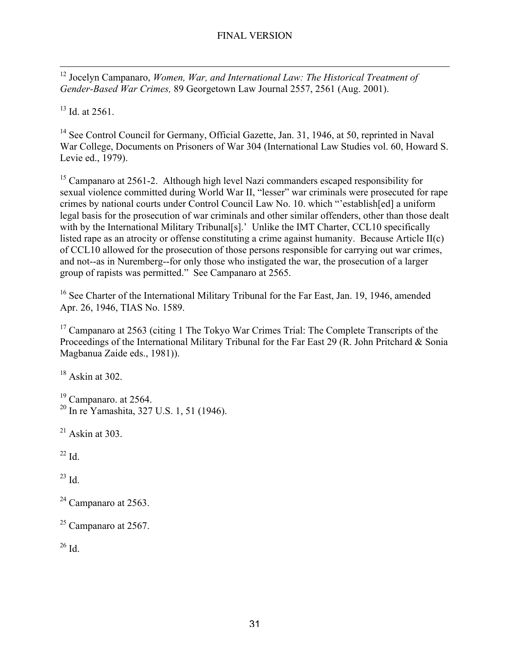12 Jocelyn Campanaro, *Women, War, and International Law: The Historical Treatment of Gender-Based War Crimes,* 89 Georgetown Law Journal 2557, 2561 (Aug. 2001).

 $13$  Id. at 2561.

<sup>14</sup> See Control Council for Germany, Official Gazette, Jan. 31, 1946, at 50, reprinted in Naval War College, Documents on Prisoners of War 304 (International Law Studies vol. 60, Howard S. Levie ed., 1979).

<sup>15</sup> Campanaro at 2561-2. Although high level Nazi commanders escaped responsibility for sexual violence committed during World War II, "lesser" war criminals were prosecuted for rape crimes by national courts under Control Council Law No. 10. which "'establish[ed] a uniform legal basis for the prosecution of war criminals and other similar offenders, other than those dealt with by the International Military Tribunal[s].' Unlike the IMT Charter, CCL10 specifically listed rape as an atrocity or offense constituting a crime against humanity. Because Article II(c) of CCL10 allowed for the prosecution of those persons responsible for carrying out war crimes, and not--as in Nuremberg--for only those who instigated the war, the prosecution of a larger group of rapists was permitted." See Campanaro at 2565.

<sup>16</sup> See Charter of the International Military Tribunal for the Far East, Jan. 19, 1946, amended Apr. 26, 1946, TIAS No. 1589.

<sup>17</sup> Campanaro at 2563 (citing 1 The Tokyo War Crimes Trial: The Complete Transcripts of the Proceedings of the International Military Tribunal for the Far East 29 (R. John Pritchard & Sonia Magbanua Zaide eds., 1981)).

 $18$  Askin at 302.

 $19$  Campanaro. at 2564. 20 In re Yamashita, 327 U.S. 1, 51 (1946).

 $21$  Askin at 303.

 $^{22}$  Id.

 $^{23}$  Id.

 $2<sup>24</sup>$  Campanaro at 2563.

 $25$  Campanaro at 2567.

 $26$  Id.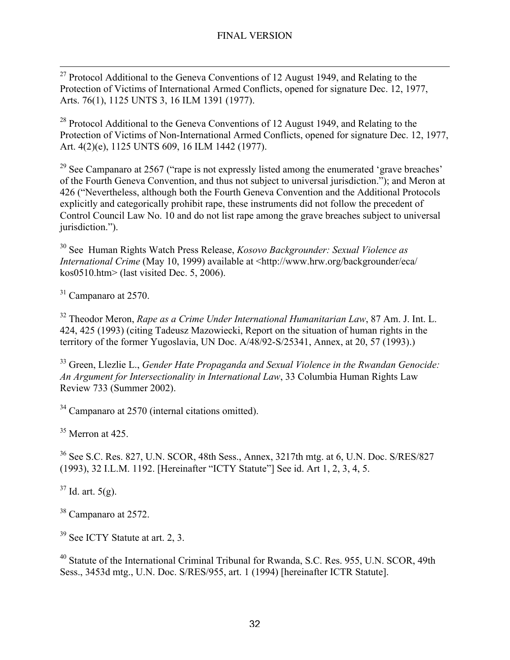$2<sup>27</sup>$  Protocol Additional to the Geneva Conventions of 12 August 1949, and Relating to the Protection of Victims of International Armed Conflicts, opened for signature Dec. 12, 1977, Arts. 76(1), 1125 UNTS 3, 16 ILM 1391 (1977).

 $28$  Protocol Additional to the Geneva Conventions of 12 August 1949, and Relating to the Protection of Victims of Non-International Armed Conflicts, opened for signature Dec. 12, 1977, Art. 4(2)(e), 1125 UNTS 609, 16 ILM 1442 (1977).

<sup>29</sup> See Campanaro at 2567 ("rape is not expressly listed among the enumerated 'grave breaches' of the Fourth Geneva Convention, and thus not subject to universal jurisdiction."); and Meron at 426 ("Nevertheless, although both the Fourth Geneva Convention and the Additional Protocols explicitly and categorically prohibit rape, these instruments did not follow the precedent of Control Council Law No. 10 and do not list rape among the grave breaches subject to universal jurisdiction.").

30 See Human Rights Watch Press Release, *Kosovo Backgrounder: Sexual Violence as International Crime* (May 10, 1999) available at <http://www.hrw.org/backgrounder/eca/ kos0510.htm> (last visited Dec. 5, 2006).

 $31$  Campanaro at 2570.

32 Theodor Meron, *Rape as a Crime Under International Humanitarian Law*, 87 Am. J. Int. L. 424, 425 (1993) (citing Tadeusz Mazowiecki, Report on the situation of human rights in the territory of the former Yugoslavia, UN Doc. A/48/92-S/25341, Annex, at 20, 57 (1993).)

33 Green, Llezlie L., *Gender Hate Propaganda and Sexual Violence in the Rwandan Genocide: An Argument for Intersectionality in International Law*, 33 Columbia Human Rights Law Review 733 (Summer 2002).

<sup>34</sup> Campanaro at 2570 (internal citations omitted).

 $35$  Merron at 425.

36 See S.C. Res. 827, U.N. SCOR, 48th Sess., Annex, 3217th mtg. at 6, U.N. Doc. S/RES/827 (1993), 32 I.L.M. 1192. [Hereinafter "ICTY Statute"] See id. Art 1, 2, 3, 4, 5.

 $37$  Id. art.  $5(g)$ .

<sup>38</sup> Campanaro at 2572.

<sup>39</sup> See ICTY Statute at art. 2, 3.

<sup>40</sup> Statute of the International Criminal Tribunal for Rwanda, S.C. Res. 955, U.N. SCOR, 49th Sess., 3453d mtg., U.N. Doc. S/RES/955, art. 1 (1994) [hereinafter ICTR Statute].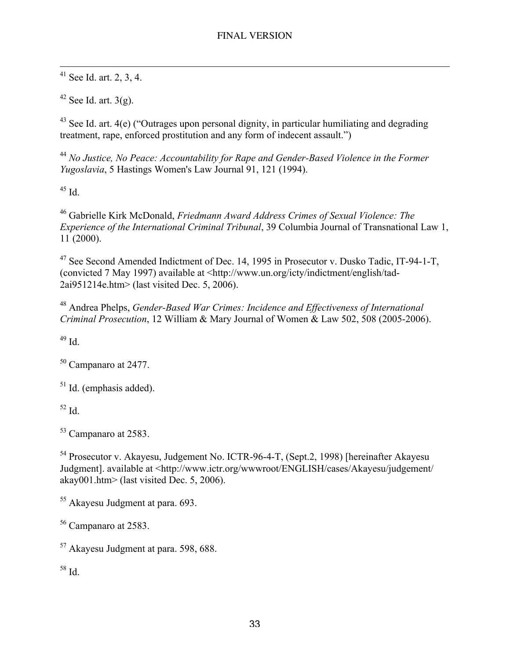$41$  See Id. art. 2, 3, 4.

 $42$  See Id. art. 3(g).

 $43$  See Id. art. 4(e) ("Outrages upon personal dignity, in particular humiliating and degrading treatment, rape, enforced prostitution and any form of indecent assault.")

<sup>44</sup> *No Justice, No Peace: Accountability for Rape and Gender-Based Violence in the Former Yugoslavia*, 5 Hastings Women's Law Journal 91, 121 (1994).

45 Id.

46 Gabrielle Kirk McDonald, *Friedmann Award Address Crimes of Sexual Violence: The Experience of the International Criminal Tribunal*, 39 Columbia Journal of Transnational Law 1, 11 (2000).

<sup>47</sup> See Second Amended Indictment of Dec. 14, 1995 in Prosecutor v. Dusko Tadic, IT-94-1-T, (convicted 7 May 1997) available at <http://www.un.org/icty/indictment/english/tad-2ai951214e.htm> (last visited Dec. 5, 2006).

48 Andrea Phelps, *Gender-Based War Crimes: Incidence and Effectiveness of International Criminal Prosecution*, 12 William & Mary Journal of Women & Law 502, 508 (2005-2006).

49 Id.

<sup>50</sup> Campanaro at 2477.

<sup>51</sup> Id. (emphasis added).

52 Id.

<sup>53</sup> Campanaro at 2583.

<sup>54</sup> Prosecutor v. Akayesu, Judgement No. ICTR-96-4-T, (Sept.2, 1998) [hereinafter Akayesu Judgment]. available at <http://www.ictr.org/wwwroot/ENGLISH/cases/Akayesu/judgement/ akay001.htm> (last visited Dec. 5, 2006).

<sup>55</sup> Akayesu Judgment at para. 693.

<sup>56</sup> Campanaro at 2583.

<sup>57</sup> Akayesu Judgment at para. 598, 688.

58 Id.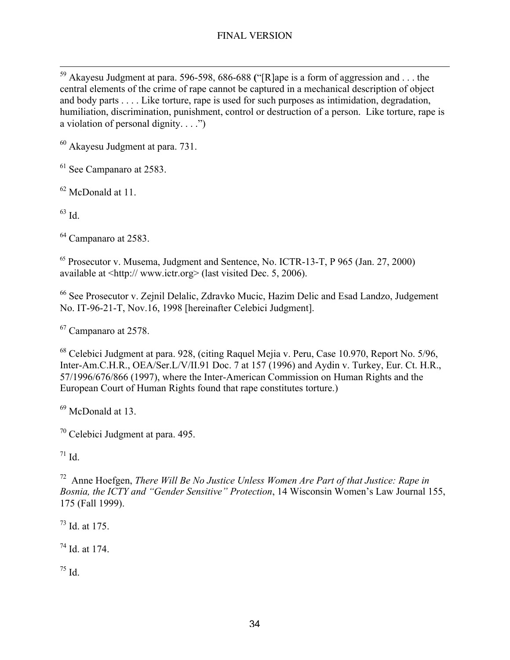<sup>59</sup> Akayesu Judgment at para. 596-598, 686-688 ("[R]ape is a form of aggression and . . . the central elements of the crime of rape cannot be captured in a mechanical description of object and body parts . . . . Like torture, rape is used for such purposes as intimidation, degradation, humiliation, discrimination, punishment, control or destruction of a person. Like torture, rape is a violation of personal dignity.  $\ldots$ .")

<sup>60</sup> Akayesu Judgment at para. 731.

 $<sup>61</sup>$  See Campanaro at 2583.</sup>

<sup>62</sup> McDonald at 11.

 $^{63}$  Id.

<sup>64</sup> Campanaro at 2583.

<sup>65</sup> Prosecutor v. Musema, Judgment and Sentence, No. ICTR-13-T, P 965 (Jan. 27, 2000) available at <http:// www.ictr.org> (last visited Dec. 5, 2006).

<sup>66</sup> See Prosecutor v. Zejnil Delalic, Zdravko Mucic, Hazim Delic and Esad Landzo, Judgement No. IT-96-21-T, Nov.16, 1998 [hereinafter Celebici Judgment].

<sup>67</sup> Campanaro at 2578.

<sup>68</sup> Celebici Judgment at para. 928, (citing Raquel Mejia v. Peru, Case 10.970, Report No. 5/96, Inter-Am.C.H.R., OEA/Ser.L/V/II.91 Doc. 7 at 157 (1996) and Aydin v. Turkey, Eur. Ct. H.R., 57/1996/676/866 (1997), where the Inter-American Commission on Human Rights and the European Court of Human Rights found that rape constitutes torture.)

<sup>69</sup> McDonald at 13.

<sup>70</sup> Celebici Judgment at para. 495.

 $171$  Id.

72 Anne Hoefgen, *There Will Be No Justice Unless Women Are Part of that Justice: Rape in Bosnia, the ICTY and "Gender Sensitive" Protection*, 14 Wisconsin Women's Law Journal 155, 175 (Fall 1999).

 $^{73}$  Id. at 175.

74 Id. at 174.

75 Id.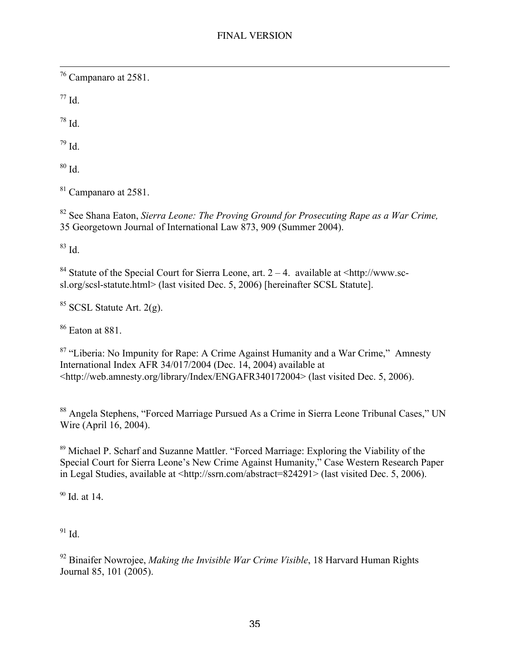76 Campanaro at 2581.

 $77$  Id.

78 Id.

79 Id.

 $80$  Id.

<sup>81</sup> Campanaro at 2581.

82 See Shana Eaton, *Sierra Leone: The Proving Ground for Prosecuting Rape as a War Crime,* 35 Georgetown Journal of International Law 873, 909 (Summer 2004).

83 Id.

<sup>84</sup> Statute of the Special Court for Sierra Leone, art.  $2 - 4$ . available at <http://www.scsl.org/scsl-statute.html> (last visited Dec. 5, 2006) [hereinafter SCSL Statute].

 $85$  SCSL Statute Art. 2(g).

86 Eaton at 881.

<sup>87</sup> "Liberia: No Impunity for Rape: A Crime Against Humanity and a War Crime," Amnesty International Index AFR 34/017/2004 (Dec. 14, 2004) available at <http://web.amnesty.org/library/Index/ENGAFR340172004> (last visited Dec. 5, 2006).

<sup>88</sup> Angela Stephens, "Forced Marriage Pursued As a Crime in Sierra Leone Tribunal Cases," UN Wire (April 16, 2004).

<sup>89</sup> Michael P. Scharf and Suzanne Mattler. "Forced Marriage: Exploring the Viability of the Special Court for Sierra Leone's New Crime Against Humanity," Case Western Research Paper in Legal Studies, available at <http://ssrn.com/abstract=824291> (last visited Dec. 5, 2006).

<sup>90</sup> Id. at 14.

91 Id.

92 Binaifer Nowrojee, *Making the Invisible War Crime Visible*, 18 Harvard Human Rights Journal 85, 101 (2005).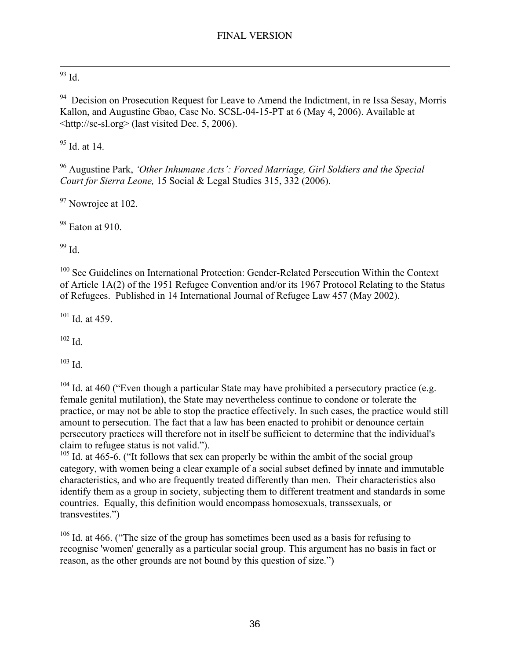# $\frac{93}{93}$  Id.

<sup>94</sup> Decision on Prosecution Request for Leave to Amend the Indictment, in re Issa Sesay, Morris Kallon, and Augustine Gbao, Case No. SCSL-04-15-PT at 6 (May 4, 2006). Available at <http://sc-sl.org> (last visited Dec. 5, 2006).

<sup>95</sup> Id. at 14.

96 Augustine Park, *'Other Inhumane Acts': Forced Marriage, Girl Soldiers and the Special Court for Sierra Leone,* 15 Social & Legal Studies 315, 332 (2006).

 $97$  Nowrojee at 102.

<sup>98</sup> Eaton at 910.

99 Id.

<sup>100</sup> See Guidelines on International Protection: Gender-Related Persecution Within the Context of Article 1A(2) of the 1951 Refugee Convention and/or its 1967 Protocol Relating to the Status of Refugees. Published in 14 International Journal of Refugee Law 457 (May 2002).

 $101$  Id. at 459.

102 Id.

103 Id.

 $104$  Id. at 460 ("Even though a particular State may have prohibited a persecutory practice (e.g. female genital mutilation), the State may nevertheless continue to condone or tolerate the practice, or may not be able to stop the practice effectively. In such cases, the practice would still amount to persecution. The fact that a law has been enacted to prohibit or denounce certain persecutory practices will therefore not in itself be sufficient to determine that the individual's claim to refugee status is not valid.").

 $105$  Id. at 465-6. ("It follows that sex can properly be within the ambit of the social group category, with women being a clear example of a social subset defined by innate and immutable characteristics, and who are frequently treated differently than men. Their characteristics also identify them as a group in society, subjecting them to different treatment and standards in some countries. Equally, this definition would encompass homosexuals, transsexuals, or transvestites.")

 $106$  Id. at 466. ("The size of the group has sometimes been used as a basis for refusing to recognise 'women' generally as a particular social group. This argument has no basis in fact or reason, as the other grounds are not bound by this question of size.")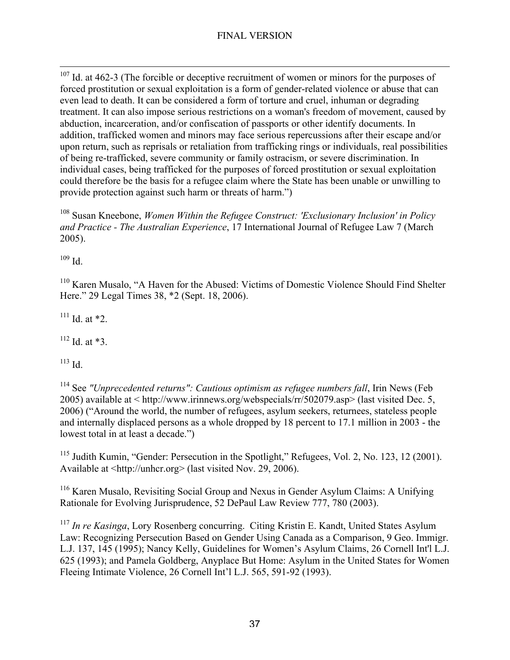$107$  Id. at 462-3 (The forcible or deceptive recruitment of women or minors for the purposes of forced prostitution or sexual exploitation is a form of gender-related violence or abuse that can even lead to death. It can be considered a form of torture and cruel, inhuman or degrading treatment. It can also impose serious restrictions on a woman's freedom of movement, caused by abduction, incarceration, and/or confiscation of passports or other identify documents. In addition, trafficked women and minors may face serious repercussions after their escape and/or upon return, such as reprisals or retaliation from trafficking rings or individuals, real possibilities of being re-trafficked, severe community or family ostracism, or severe discrimination. In individual cases, being trafficked for the purposes of forced prostitution or sexual exploitation could therefore be the basis for a refugee claim where the State has been unable or unwilling to provide protection against such harm or threats of harm.")

108 Susan Kneebone, *Women Within the Refugee Construct: 'Exclusionary Inclusion' in Policy and Practice - The Australian Experience*, 17 International Journal of Refugee Law 7 (March 2005).

 $109$  Id.

<sup>110</sup> Karen Musalo, "A Haven for the Abused: Victims of Domestic Violence Should Find Shelter Here." 29 Legal Times 38, \*2 (Sept. 18, 2006).

 $111$  Id. at  $*2$ .

 $112$  Id. at  $*3$ .

113 Id.

<sup>114</sup> See "Unprecedented returns": Cautious optimism as refugee numbers fall, Irin News (Feb 2005) available at < http://www.irinnews.org/webspecials/rr/502079.asp> (last visited Dec. 5, 2006) ("Around the world, the number of refugees, asylum seekers, returnees, stateless people and internally displaced persons as a whole dropped by 18 percent to 17.1 million in 2003 - the lowest total in at least a decade.")

<sup>115</sup> Judith Kumin, "Gender: Persecution in the Spotlight," Refugees, Vol. 2, No. 123, 12 (2001). Available at <http://unhcr.org> (last visited Nov. 29, 2006).

<sup>116</sup> Karen Musalo, Revisiting Social Group and Nexus in Gender Asylum Claims: A Unifying Rationale for Evolving Jurisprudence, 52 DePaul Law Review 777, 780 (2003).

<sup>117</sup> In re Kasinga, Lory Rosenberg concurring. Citing Kristin E. Kandt, United States Asylum Law: Recognizing Persecution Based on Gender Using Canada as a Comparison, 9 Geo. Immigr. L.J. 137, 145 (1995); Nancy Kelly, Guidelines for Women's Asylum Claims, 26 Cornell Int'l L.J. 625 (1993); and Pamela Goldberg, Anyplace But Home: Asylum in the United States for Women Fleeing Intimate Violence, 26 Cornell Int'l L.J. 565, 591-92 (1993).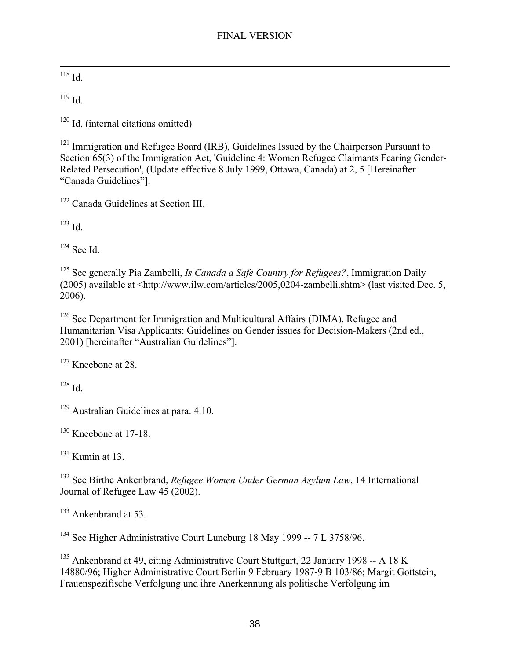$\frac{118}{10}$ 

 $119$  Id.

<sup>120</sup> Id. (internal citations omitted)

<sup>121</sup> Immigration and Refugee Board (IRB), Guidelines Issued by the Chairperson Pursuant to Section 65(3) of the Immigration Act, 'Guideline 4: Women Refugee Claimants Fearing Gender-Related Persecution', (Update effective 8 July 1999, Ottawa, Canada) at 2, 5 [Hereinafter "Canada Guidelines"].

<sup>122</sup> Canada Guidelines at Section III.

123 Id.

124 See Id.

125 See generally Pia Zambelli, *Is Canada a Safe Country for Refugees?*, Immigration Daily (2005) available at <http://www.ilw.com/articles/2005,0204-zambelli.shtm> (last visited Dec. 5, 2006).

<sup>126</sup> See Department for Immigration and Multicultural Affairs (DIMA), Refugee and Humanitarian Visa Applicants: Guidelines on Gender issues for Decision-Makers (2nd ed., 2001) [hereinafter "Australian Guidelines"].

<sup>127</sup> Kneebone at 28.

 $128$  Id.

<sup>129</sup> Australian Guidelines at para. 4.10.

<sup>130</sup> Kneebone at 17-18.

 $131$  Kumin at 13.

132 See Birthe Ankenbrand, *Refugee Women Under German Asylum Law*, 14 International Journal of Refugee Law 45 (2002).

<sup>133</sup> Ankenbrand at 53.

<sup>134</sup> See Higher Administrative Court Luneburg 18 May 1999 -- 7 L 3758/96.

<sup>135</sup> Ankenbrand at 49, citing Administrative Court Stuttgart, 22 January 1998 -- A 18 K 14880/96; Higher Administrative Court Berlin 9 February 1987-9 B 103/86; Margit Gottstein, Frauenspezifische Verfolgung und ihre Anerkennung als politische Verfolgung im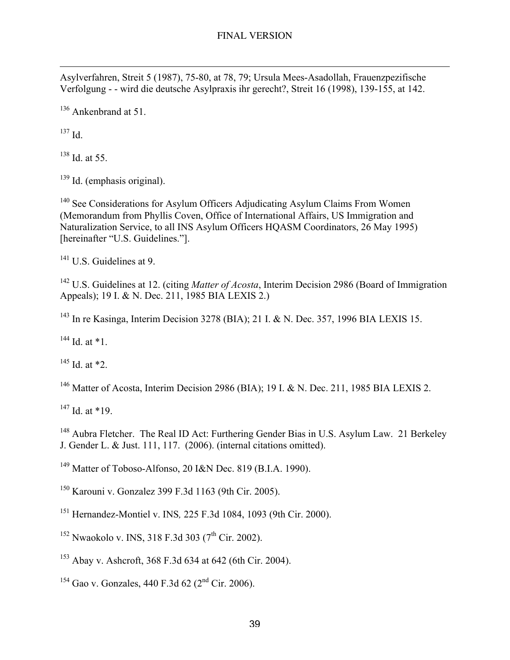$\overline{a}$ Asylverfahren, Streit 5 (1987), 75-80, at 78, 79; Ursula Mees-Asadollah, Frauenzpezifische Verfolgung - - wird die deutsche Asylpraxis ihr gerecht?, Streit 16 (1998), 139-155, at 142.

<sup>136</sup> Ankenbrand at 51.

137 Id.

 $138$  Id. at 55.

<sup>139</sup> Id. (emphasis original).

<sup>140</sup> See Considerations for Asylum Officers Adjudicating Asylum Claims From Women (Memorandum from Phyllis Coven, Office of International Affairs, US Immigration and Naturalization Service, to all INS Asylum Officers HQASM Coordinators, 26 May 1995) [hereinafter "U.S. Guidelines."].

<sup>141</sup> U.S. Guidelines at 9.

<sup>142</sup> U.S. Guidelines at 12. (citing *Matter of Acosta*, Interim Decision 2986 (Board of Immigration Appeals); 19 I. & N. Dec. 211, 1985 BIA LEXIS 2.)

<sup>143</sup> In re Kasinga, Interim Decision 3278 (BIA); 21 I. & N. Dec. 357, 1996 BIA LEXIS 15.

<sup>144</sup> Id. at \*1.

 $145$  Id. at  $*2$ .

<sup>146</sup> Matter of Acosta, Interim Decision 2986 (BIA); 19 I. & N. Dec. 211, 1985 BIA LEXIS 2.

 $147$  Id. at \*19.

<sup>148</sup> Aubra Fletcher. The Real ID Act: Furthering Gender Bias in U.S. Asylum Law. 21 Berkeley J. Gender L. & Just. 111, 117. (2006). (internal citations omitted).

<sup>149</sup> Matter of Toboso-Alfonso, 20 I&N Dec. 819 (B.I.A. 1990).

150 Karouni v. Gonzalez 399 F.3d 1163 (9th Cir. 2005).

151 Hernandez-Montiel v. INS*,* 225 F.3d 1084, 1093 (9th Cir. 2000).

<sup>152</sup> Nwaokolo v. INS, 318 F.3d 303 (7<sup>th</sup> Cir. 2002).

<sup>153</sup> Abay v. Ashcroft, 368 F.3d 634 at 642 (6th Cir. 2004).

<sup>154</sup> Gao v. Gonzales, 440 F.3d 62 (2<sup>nd</sup> Cir. 2006).